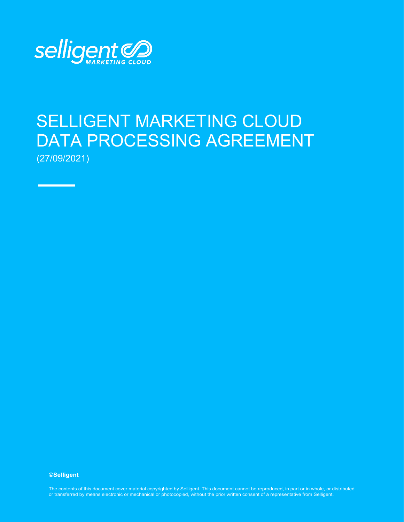

Ξ

# SELLIGENT MARKETING CLOUD DATA PROCESSING AGREEMENT (27/09/2021)

**©Selligent** 

*Selligent DPA for EU Clients - English Page | 1* The contents of this document cover material copyrighted by Selligent. This document cannot be reproduced, in part or in whole, or distributed *V1 September 2021 Confidential and Proprietary to Selligent Marketing Cloud* or transferred by means electronic or mechanical or photocopied, without the prior written consent of a representative from Selligent.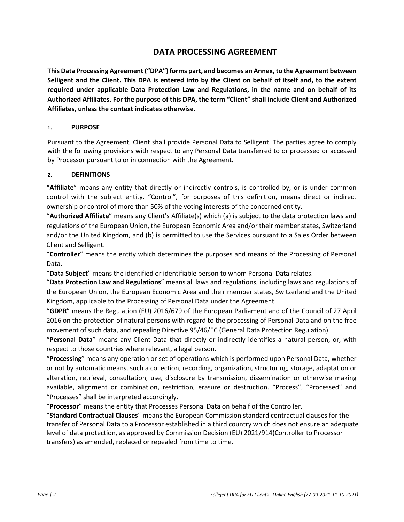# **DATA PROCESSING AGREEMENT**

**This Data Processing Agreement ("DPA") forms part, and becomes an Annex, to the Agreement between Selligent and the Client. This DPA is entered into by the Client on behalf of itself and, to the extent required under applicable Data Protection Law and Regulations, in the name and on behalf of its Authorized Affiliates. For the purpose of this DPA, the term "Client" shall include Client and Authorized Affiliates, unless the context indicates otherwise.**

#### **1. PURPOSE**

Pursuant to the Agreement, Client shall provide Personal Data to Selligent. The parties agree to comply with the following provisions with respect to any Personal Data transferred to or processed or accessed by Processor pursuant to or in connection with the Agreement.

#### **2. DEFINITIONS**

"**Affiliate**" means any entity that directly or indirectly controls, is controlled by, or is under common control with the subject entity. "Control", for purposes of this definition, means direct or indirect ownership or control of more than 50% of the voting interests of the concerned entity.

"**Authorized Affiliate**" means any Client's Affiliate(s) which (a) is subject to the data protection laws and regulations of the European Union, the European Economic Area and/or their member states, Switzerland and/or the United Kingdom, and (b) is permitted to use the Services pursuant to a Sales Order between Client and Selligent.

"**Controller**" means the entity which determines the purposes and means of the Processing of Personal Data.

"**Data Subject**" means the identified or identifiable person to whom Personal Data relates.

"**Data Protection Law and Regulations**" means all laws and regulations, including laws and regulations of the European Union, the European Economic Area and their member states, Switzerland and the United Kingdom, applicable to the Processing of Personal Data under the Agreement.

"**GDPR**" means the Regulation (EU) 2016/679 of the European Parliament and of the Council of 27 April 2016 on the protection of natural persons with regard to the processing of Personal Data and on the free movement of such data, and repealing Directive 95/46/EC (General Data Protection Regulation).

"**Personal Data**" means any Client Data that directly or indirectly identifies a natural person, or, with respect to those countries where relevant, a legal person.

"**Processing**" means any operation or set of operations which is performed upon Personal Data, whether or not by automatic means, such a collection, recording, organization, structuring, storage, adaptation or alteration, retrieval, consultation, use, disclosure by transmission, dissemination or otherwise making available, alignment or combination, restriction, erasure or destruction. "Process", "Processed" and "Processes" shall be interpreted accordingly.

"**Processor**" means the entity that Processes Personal Data on behalf of the Controller.

"**Standard Contractual Clauses**" means the European Commission standard contractual clauses for the transfer of Personal Data to a Processor established in a third country which does not ensure an adequate level of data protection, as approved by Commission Decision (EU) 2021/914(Controller to Processor transfers) as amended, replaced or repealed from time to time.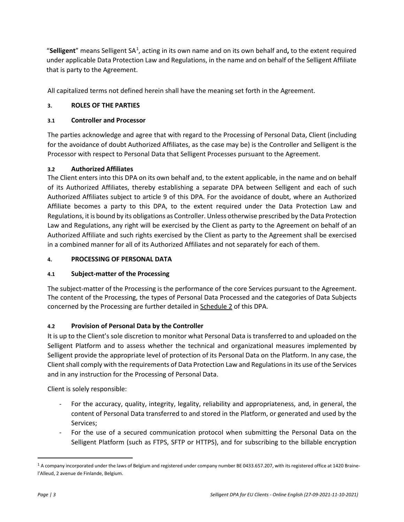"Selligent" means Selligent SA<sup>[1](#page-2-0)</sup>, acting in its own name and on its own behalf and, to the extent required under applicable Data Protection Law and Regulations, in the name and on behalf of the Selligent Affiliate that is party to the Agreement.

All capitalized terms not defined herein shall have the meaning set forth in the Agreement.

# **3. ROLES OF THE PARTIES**

# **3.1 Controller and Processor**

The parties acknowledge and agree that with regard to the Processing of Personal Data, Client (including for the avoidance of doubt Authorized Affiliates, as the case may be) is the Controller and Selligent is the Processor with respect to Personal Data that Selligent Processes pursuant to the Agreement.

# **3.2 Authorized Affiliates**

The Client enters into this DPA on its own behalf and, to the extent applicable, in the name and on behalf of its Authorized Affiliates, thereby establishing a separate DPA between Selligent and each of such Authorized Affiliates subject to article [9 o](#page-6-0)f this DPA. For the avoidance of doubt, where an Authorized Affiliate becomes a party to this DPA, to the extent required under the Data Protection Law and Regulations, it is bound by its obligations as Controller. Unless otherwise prescribed by the Data Protection Law and Regulations, any right will be exercised by the Client as party to the Agreement on behalf of an Authorized Affiliate and such rights exercised by the Client as party to the Agreement shall be exercised in a combined manner for all of its Authorized Affiliates and not separately for each of them.

# **4. PROCESSING OF PERSONAL DATA**

# **4.1 Subject-matter of the Processing**

The subject-matter of the Processing is the performance of the core Services pursuant to the Agreement. The content of the Processing, the types of Personal Data Processed and the categories of Data Subjects concerned by the Processing are further detailed in Schedule 2 of this DPA.

# **4.2 Provision of Personal Data by the Controller**

It is up to the Client's sole discretion to monitor what Personal Data is transferred to and uploaded on the Selligent Platform and to assess whether the technical and organizational measures implemented by Selligent provide the appropriate level of protection of its Personal Data on the Platform. In any case, the Client shall comply with the requirements of Data Protection Law and Regulations in its use of the Services and in any instruction for the Processing of Personal Data.

Client is solely responsible:

- For the accuracy, quality, integrity, legality, reliability and appropriateness, and, in general, the content of Personal Data transferred to and stored in the Platform, or generated and used by the Services;
- For the use of a secured communication protocol when submitting the Personal Data on the Selligent Platform (such as FTPS, SFTP or HTTPS), and for subscribing to the billable encryption

<span id="page-2-0"></span><sup>&</sup>lt;sup>1</sup> A company incorporated under the laws of Belgium and registered under company number BE 0433.657.207, with its registered office at 1420 Brainel'Alleud, 2 avenue de Finlande, Belgium.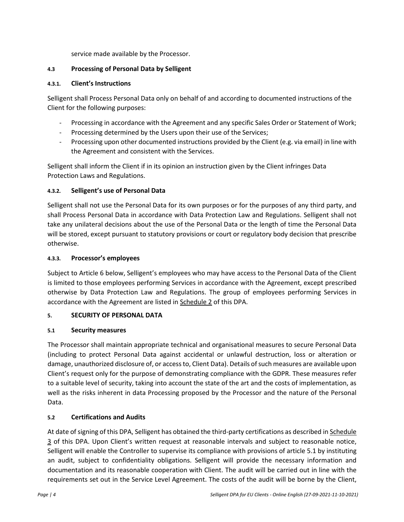service made available by the Processor.

## **4.3 Processing of Personal Data by Selligent**

#### **4.3.1. Client's Instructions**

Selligent shall Process Personal Data only on behalf of and according to documented instructions of the Client for the following purposes:

- Processing in accordance with the Agreement and any specific Sales Order or Statement of Work;
- Processing determined by the Users upon their use of the Services;
- Processing upon other documented instructions provided by the Client (e.g. via email) in line with the Agreement and consistent with the Services.

Selligent shall inform the Client if in its opinion an instruction given by the Client infringes Data Protection Laws and Regulations.

# **4.3.2. Selligent's use of Personal Data**

Selligent shall not use the Personal Data for its own purposes or for the purposes of any third party, and shall Process Personal Data in accordance with Data Protection Law and Regulations. Selligent shall not take any unilateral decisions about the use of the Personal Data or the length of time the Personal Data will be stored, except pursuant to statutory provisions or court or regulatory body decision that prescribe otherwise.

#### **4.3.3. Processor's employees**

Subject to Article 6 below, Selligent's employees who may have access to the Personal Data of the Client is limited to those employees performing Services in accordance with the Agreement, except prescribed otherwise by Data Protection Law and Regulations. The group of employees performing Services in accordance with the Agreement are listed in Schedule 2 of this DPA.

# **5. SECURITY OF PERSONAL DATA**

# <span id="page-3-0"></span>**5.1 Security measures**

The Processor shall maintain appropriate technical and organisational measures to secure Personal Data (including to protect Personal Data against accidental or unlawful destruction, loss or alteration or damage, unauthorized disclosure of, or access to, Client Data). Details of such measures are available upon Client's request only for the purpose of demonstrating compliance with the GDPR. These measures refer to a suitable level of security, taking into account the state of the art and the costs of implementation, as well as the risks inherent in data Processing proposed by the Processor and the nature of the Personal Data.

# **5.2 Certifications and Audits**

At date of signing of this DPA, Selligent has obtained the third-party certifications as described in Schedule 3 of this DPA. Upon Client's written request at reasonable intervals and subject to reasonable notice, Selligent will enable the Controller to supervise its compliance with provisions of article [5.1 b](#page-3-0)y instituting an audit, subject to confidentiality obligations. Selligent will provide the necessary information and documentation and its reasonable cooperation with Client. The audit will be carried out in line with the requirements set out in the Service Level Agreement. The costs of the audit will be borne by the Client,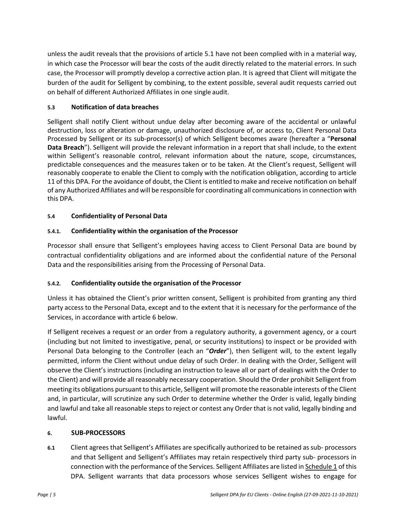unless the audit reveals that the provisions of article [5.1](#page-3-0) have not been complied with in a material way, in which case the Processor will bear the costs of the audit directly related to the material errors. In such case, the Processor will promptly develop a corrective action plan. It is agreed that Client will mitigate the burden of the audit for Selligent by combining, to the extent possible, several audit requests carried out on behalf of different Authorized Affiliates in one single audit.

# **5.3 Notification of data breaches**

Selligent shall notify Client without undue delay after becoming aware of the accidental or unlawful destruction, loss or alteration or damage, unauthorized disclosure of, or access to, Client Personal Data Processed by Selligent or its sub-processor(s) of which Selligent becomes aware (hereafter a "**Personal Data Breach**"). Selligent will provide the relevant information in a report that shall include, to the extent within Selligent's reasonable control, relevant information about the nature, scope, circumstances, predictable consequences and the measures taken or to be taken. At the Client's request, Selligent will reasonably cooperate to enable the Client to comply with the notification obligation, according to article [11 o](#page-6-1)f this DPA. For the avoidance of doubt, the Client is entitled to make and receive notification on behalf of any Authorized Affiliates and will be responsible for coordinating all communications in connection with this DPA.

## **5.4 Confidentiality of Personal Data**

## **5.4.1. Confidentiality within the organisation of the Processor**

Processor shall ensure that Selligent's employees having access to Client Personal Data are bound by contractual confidentiality obligations and are informed about the confidential nature of the Personal Data and the responsibilities arising from the Processing of Personal Data.

#### **5.4.2. Confidentiality outside the organisation of the Processor**

Unless it has obtained the Client's prior written consent, Selligent is prohibited from granting any third party access to the Personal Data, except and to the extent that it is necessary for the performance of the Services, in accordance with article [6 b](#page-4-0)elow.

If Selligent receives a request or an order from a regulatory authority, a government agency, or a court (including but not limited to investigative, penal, or security institutions) to inspect or be provided with Personal Data belonging to the Controller (each an "*Order*"), then Selligent will, to the extent legally permitted, inform the Client without undue delay of such Order. In dealing with the Order, Selligent will observe the Client's instructions (including an instruction to leave all or part of dealings with the Order to the Client) and will provide all reasonably necessary cooperation. Should the Order prohibit Selligent from meeting its obligations pursuant to this article, Selligent will promote the reasonable interests of the Client and, in particular, will scrutinize any such Order to determine whether the Order is valid, legally binding and lawful and take all reasonable steps to reject or contest any Order that is not valid, legally binding and lawful.

#### <span id="page-4-0"></span>**6. SUB-PROCESSORS**

**6.1** Client agrees that Selligent's Affiliates are specifically authorized to be retained as sub- processors and that Selligent and Selligent's Affiliates may retain respectively third party sub- processors in connection with the performance of the Services. Selligent Affiliates are listed in Schedule 1 of this DPA. Selligent warrants that data processors whose services Selligent wishes to engage for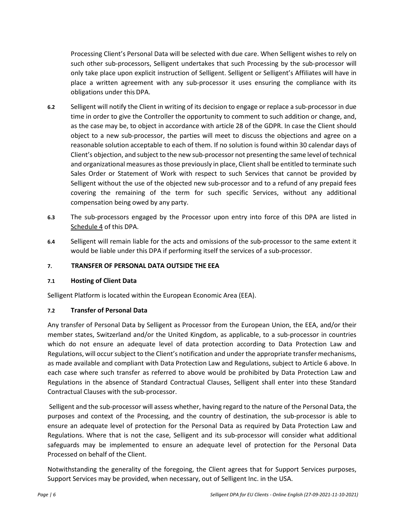Processing Client's Personal Data will be selected with due care. When Selligent wishes to rely on such other sub-processors, Selligent undertakes that such Processing by the sub-processor will only take place upon explicit instruction of Selligent. Selligent or Selligent's Affiliates will have in place a written agreement with any sub-processor it uses ensuring the compliance with its obligations under this DPA.

- **6.2** Selligent will notify the Client in writing of its decision to engage or replace a sub-processor in due time in order to give the Controller the opportunity to comment to such addition or change, and, as the case may be, to object in accordance with article 28 of the GDPR. In case the Client should object to a new sub-processor, the parties will meet to discuss the objections and agree on a reasonable solution acceptable to each of them. If no solution is found within 30 calendar days of Client's objection, and subject to the new sub-processor not presenting the same level of technical and organizational measures as those previously in place, Client shall be entitled to terminate such Sales Order or Statement of Work with respect to such Services that cannot be provided by Selligent without the use of the objected new sub-processor and to a refund of any prepaid fees covering the remaining of the term for such specific Services, without any additional compensation being owed by any party.
- **6.3** The sub-processors engaged by the Processor upon entry into force of this DPA are listed in Schedule 4 of this DPA.
- **6.4** Selligent will remain liable for the acts and omissions of the sub-processor to the same extent it would be liable under this DPA if performing itself the services of a sub-processor.

#### **7. TRANSFER OF PERSONAL DATA OUTSIDE THE EEA**

#### **7.1 Hosting of Client Data**

Selligent Platform is located within the European Economic Area (EEA).

#### **7.2 Transfer of Personal Data**

Any transfer of Personal Data by Selligent as Processor from the European Union, the EEA, and/or their member states, Switzerland and/or the United Kingdom, as applicable, to a sub-processor in countries which do not ensure an adequate level of data protection according to Data Protection Law and Regulations, will occur subject to the Client's notification and under the appropriate transfer mechanisms, as made available and compliant with Data Protection Law and Regulations, subject to Article 6 above. In each case where such transfer as referred to above would be prohibited by Data Protection Law and Regulations in the absence of Standard Contractual Clauses, Selligent shall enter into these Standard Contractual Clauses with the sub-processor.

Selligent and the sub-processor will assess whether, having regard to the nature of the Personal Data, the purposes and context of the Processing, and the country of destination, the sub-processor is able to ensure an adequate level of protection for the Personal Data as required by Data Protection Law and Regulations. Where that is not the case, Selligent and its sub-processor will consider what additional safeguards may be implemented to ensure an adequate level of protection for the Personal Data Processed on behalf of the Client.

Notwithstanding the generality of the foregoing, the Client agrees that for Support Services purposes, Support Services may be provided, when necessary, out of Selligent Inc. in the USA.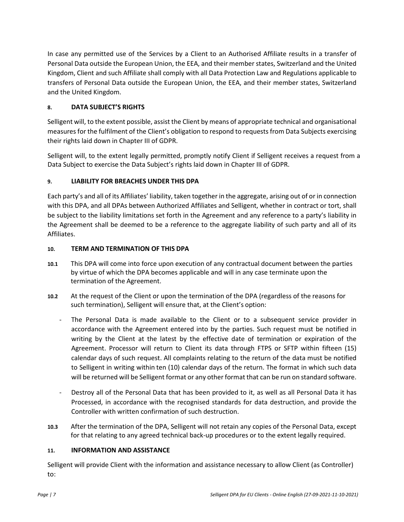In case any permitted use of the Services by a Client to an Authorised Affiliate results in a transfer of Personal Data outside the European Union, the EEA, and their member states, Switzerland and the United Kingdom, Client and such Affiliate shall comply with all Data Protection Law and Regulations applicable to transfers of Personal Data outside the European Union, the EEA, and their member states, Switzerland and the United Kingdom.

# <span id="page-6-2"></span>**8. DATA SUBJECT'S RIGHTS**

Selligent will, to the extent possible, assist the Client by means of appropriate technical and organisational measures for the fulfilment of the Client's obligation to respond to requests from Data Subjects exercising their rights laid down in Chapter III of GDPR.

Selligent will, to the extent legally permitted, promptly notify Client if Selligent receives a request from a Data Subject to exercise the Data Subject's rights laid down in Chapter III of GDPR.

# <span id="page-6-0"></span>**9. LIABILITY FOR BREACHES UNDER THIS DPA**

Each party's and all of its Affiliates' liability, taken together in the aggregate, arising out of or in connection with this DPA, and all DPAs between Authorized Affiliates and Selligent, whether in contract or tort, shall be subject to the liability limitations set forth in the Agreement and any reference to a party's liability in the Agreement shall be deemed to be a reference to the aggregate liability of such party and all of its Affiliates.

# **10. TERM AND TERMINATION OF THIS DPA**

- **10.1** This DPA will come into force upon execution of any contractual document between the parties by virtue of which the DPA becomes applicable and will in any case terminate upon the termination of the Agreement.
- **10.2** At the request of the Client or upon the termination of the DPA (regardless of the reasons for such termination), Selligent will ensure that, at the Client's option:
	- The Personal Data is made available to the Client or to a subsequent service provider in accordance with the Agreement entered into by the parties. Such request must be notified in writing by the Client at the latest by the effective date of termination or expiration of the Agreement. Processor will return to Client its data through FTPS or SFTP within fifteen (15) calendar days of such request. All complaints relating to the return of the data must be notified to Selligent in writing within ten (10) calendar days of the return. The format in which such data will be returned will be Selligent format or any other format that can be run on standard software.
	- Destroy all of the Personal Data that has been provided to it, as well as all Personal Data it has Processed, in accordance with the recognised standards for data destruction, and provide the Controller with written confirmation of such destruction.
- **10.3** After the termination of the DPA, Selligent will not retain any copies of the Personal Data, except for that relating to any agreed technical back-up procedures or to the extent legally required.

# <span id="page-6-1"></span>**11. INFORMATION AND ASSISTANCE**

Selligent will provide Client with the information and assistance necessary to allow Client (as Controller) to: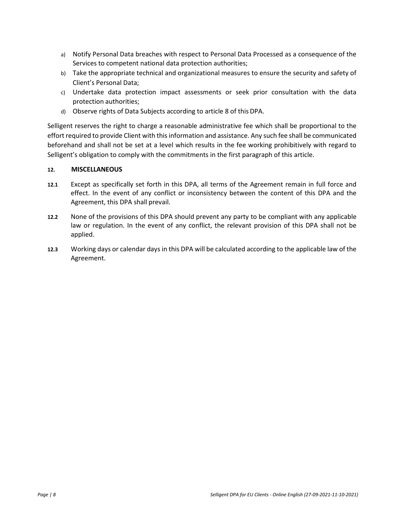- a) Notify Personal Data breaches with respect to Personal Data Processed as a consequence of the Services to competent national data protection authorities;
- b) Take the appropriate technical and organizational measures to ensure the security and safety of Client's Personal Data;
- c) Undertake data protection impact assessments or seek prior consultation with the data protection authorities;
- d) Observe rights of Data Subjects according to article [8 o](#page-6-2)f this DPA.

Selligent reserves the right to charge a reasonable administrative fee which shall be proportional to the effort required to provide Client with this information and assistance. Any such fee shall be communicated beforehand and shall not be set at a level which results in the fee working prohibitively with regard to Selligent's obligation to comply with the commitments in the first paragraph of this article.

#### **12. MISCELLANEOUS**

- **12.1** Except as specifically set forth in this DPA, all terms of the Agreement remain in full force and effect. In the event of any conflict or inconsistency between the content of this DPA and the Agreement, this DPA shall prevail.
- **12.2** None of the provisions of this DPA should prevent any party to be compliant with any applicable law or regulation. In the event of any conflict, the relevant provision of this DPA shall not be applied.
- **12.3** Working days or calendar days in this DPA will be calculated according to the applicable law of the Agreement.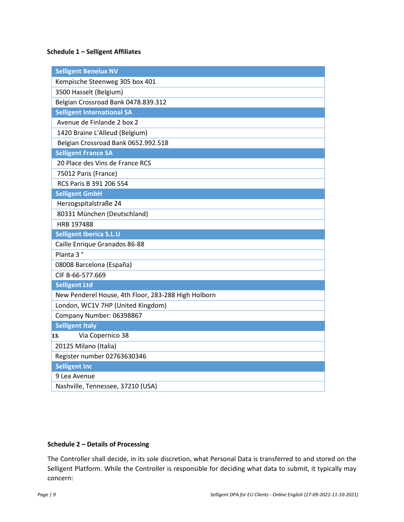# **Schedule 1 – Selligent Affiliates**

| <b>Selligent Benelux NV</b>                         |
|-----------------------------------------------------|
| Kempische Steenweg 305 box 401                      |
| 3500 Hasselt (Belgium)                              |
| Belgian Crossroad Bank 0478.839.312                 |
| <b>Selligent International SA</b>                   |
| Avenue de Finlande 2 box 2                          |
| 1420 Braine L'Alleud (Belgium)                      |
| Belgian Crossroad Bank 0652.992.518                 |
| <b>Selligent France SA</b>                          |
| 20 Place des Vins de France RCS                     |
| 75012 Paris (France)                                |
| RCS Paris B 391 206 554                             |
| <b>Selligent GmbH</b>                               |
| Herzogspitalstraße 24                               |
| 80331 München (Deutschland)                         |
| HRB 197488                                          |
|                                                     |
| <b>Selligent Iberica S.L.U</b>                      |
| Caille Enrique Granados 86-88                       |
| Planta 3°                                           |
| 08008 Barcelona (España)                            |
| CIF B-66-577.669                                    |
| <b>Selligent Ltd</b>                                |
| New Penderel House, 4th Floor, 283-288 High Holborn |
| London, WC1V 7HP (United Kingdom)                   |
| Company Number: 06398867                            |
| <b>Selligent Italy</b>                              |
| Via Copernico 38<br>13.                             |
| 20125 Milano (Italia)                               |
| Register number 02763630346                         |
| <b>Selligent Inc</b>                                |
| 9 Lea Avenue<br>Nashville, Tennessee, 37210 (USA)   |

## **Schedule 2 – Details of Processing**

The Controller shall decide, in its sole discretion, what Personal Data is transferred to and stored on the Selligent Platform. While the Controller is responsible for deciding what data to submit, it typically may concern: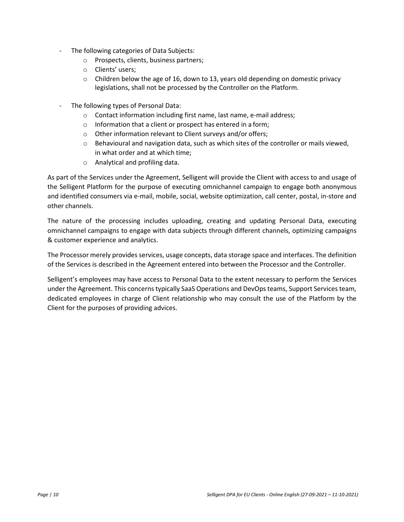- The following categories of Data Subjects:
	- o Prospects, clients, business partners;
	- o Clients' users;
	- $\circ$  Children below the age of 16, down to 13, years old depending on domestic privacy legislations, shall not be processed by the Controller on the Platform.
- The following types of Personal Data:
	- o Contact information including first name, last name, e-mail address;
	- o Information that a client or prospect has entered in a form;
	- o Other information relevant to Client surveys and/or offers;
	- $\circ$  Behavioural and navigation data, such as which sites of the controller or mails viewed, in what order and at which time;
	- o Analytical and profiling data.

As part of the Services under the Agreement, Selligent will provide the Client with access to and usage of the Selligent Platform for the purpose of executing omnichannel campaign to engage both anonymous and identified consumers via e-mail, mobile, social, website optimization, call center, postal, in-store and other channels.

The nature of the processing includes uploading, creating and updating Personal Data, executing omnichannel campaigns to engage with data subjects through different channels, optimizing campaigns & customer experience and analytics.

The Processor merely provides services, usage concepts, data storage space and interfaces. The definition of the Services is described in the Agreement entered into between the Processor and the Controller.

Selligent's employees may have access to Personal Data to the extent necessary to perform the Services under the Agreement. This concerns typically SaaS Operations and DevOps teams, Support Services team, dedicated employees in charge of Client relationship who may consult the use of the Platform by the Client for the purposes of providing advices.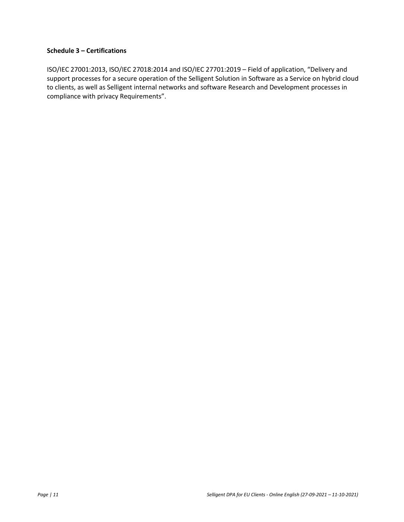#### **Schedule 3 – Certifications**

ISO/IEC 27001:2013, ISO/IEC 27018:2014 and ISO/IEC 27701:2019 – Field of application, "Delivery and support processes for a secure operation of the Selligent Solution in Software as a Service on hybrid cloud to clients, as well as Selligent internal networks and software Research and Development processes in compliance with privacy Requirements".